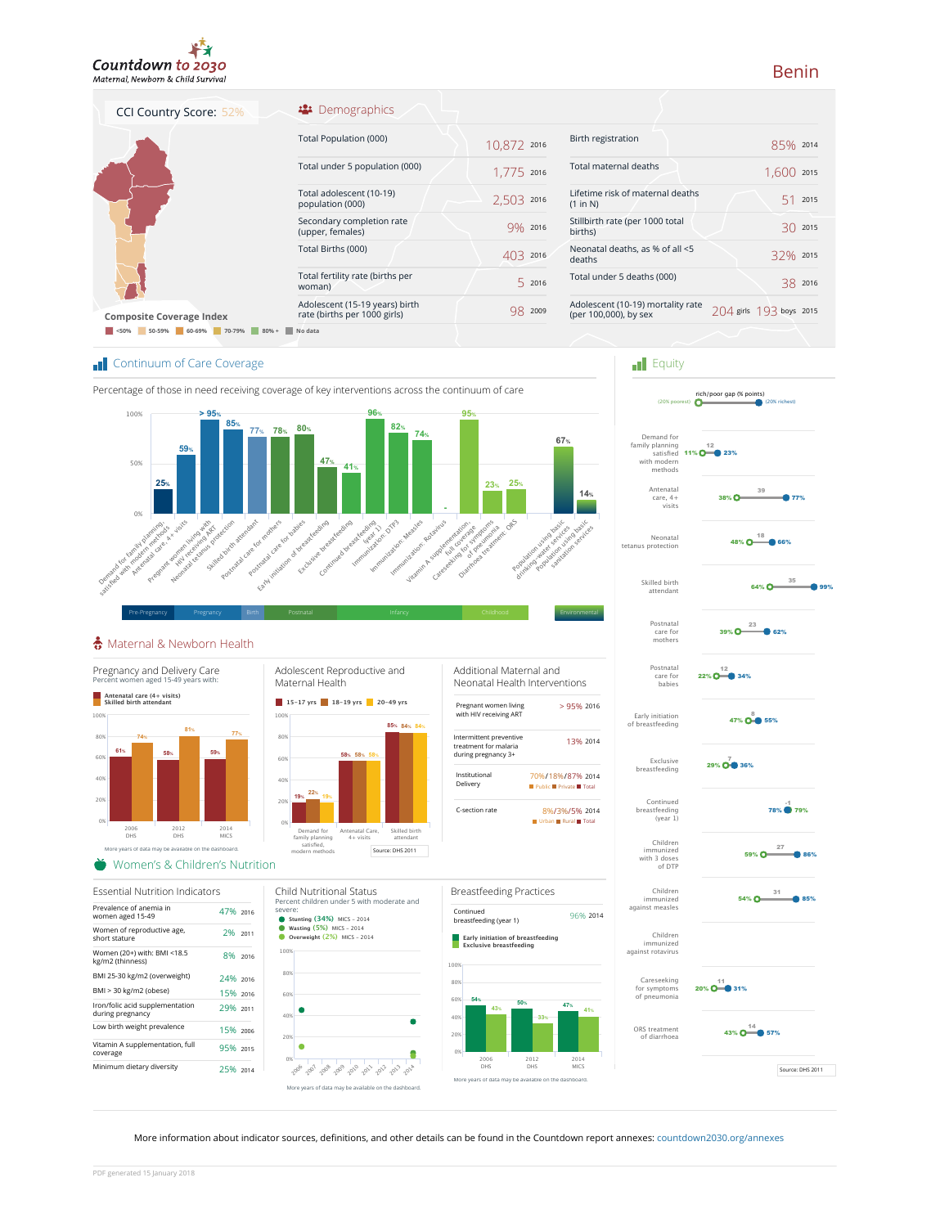

### <sup>22</sup> Demographics

| CCI Country Score: 52%                | ** Demographics                                                |             |         |
|---------------------------------------|----------------------------------------------------------------|-------------|---------|
| <b>Composite Coverage Index</b>       | Total Population (000)                                         | 10,872 2016 |         |
|                                       | Total under 5 population (000)                                 | 1,775 2016  |         |
|                                       | Total adolescent (10-19)<br>population (000)                   | 2.503       | 2016    |
|                                       | Secondary completion rate<br>(upper, females)                  | $9\%$ 2016  |         |
|                                       | Total Births (000)                                             | 403         | 2016    |
|                                       | Total fertility rate (births per<br>woman)                     |             | 2016    |
|                                       | Adolescent (15-19 years) birth<br>rate (births per 1000 girls) |             | 98 2009 |
| 50-59%<br>60-69%<br>70-79%<br>$80% +$ | No data                                                        |             |         |

| Birth registration                                         | 85% 2014                 |            |
|------------------------------------------------------------|--------------------------|------------|
| Total maternal deaths                                      | 1.600                    | 2015       |
| Lifetime risk of maternal deaths<br>(1 in N)               | 51.                      | 2015       |
| Stillbirth rate (per 1000 total<br>births)                 |                          | $3()$ 2015 |
| Neonatal deaths, as % of all <5<br>deaths                  | 32% 2015                 |            |
| Total under 5 deaths (000)                                 | 38.                      | 2016       |
| Adolescent (10-19) mortality rate<br>(per 100,000), by sex | 2014 girls 193 boys 2015 |            |
|                                                            |                          |            |

#### **T** Continuum of Care Coverage



## Maternal & Newborn Health



Prevalence of anemia in women aged 15-49 47% <sup>2016</sup> Women of reproductive age, short stature 2% <sup>2011</sup> Women (20+) with: BMI <18.5 kg/m2 (thinness) 8% <sup>2016</sup> BMI 25-30 kg/m2 (overweight) 24% <sup>2016</sup>

Essential Nutrition Indicators

Iron/folic acid supplementation during pregnancy 29% <sup>2011</sup> Low birth weight prevalence 15% <sup>2006</sup> Vitamin A supplementation, full coverage 95% <sup>2015</sup> Minimum dietary diversity 25% 2014

BMI > 30 kg/m2 (obese) 15% <sup>2016</sup>

Maternal Health **15‑17 yrs 18‑19 yrs 20‑49 yrs** Demand for family planning satisfied, modern methods atal Care, 4+ visits Skilled birth attendant **58% 58% 85% 84% 84% 22% 19% 58%**

Child Nutritional Status

**Stunting (34%)** MICS ‑ 2014 **Wasting (5%)** MICS ‑ 2014 **Stunting (34%)** MICS – 2014<br>**Wasting (5%)** MICS – 2014<br>**Overweight (2%)** MICS – 2014

More years of data may be available on the dashboard.

2019 2019 2019 2019 2019 2019 2019

severe:

20% 40% 60% 80% 100%

 $\bullet$ 





|                                               | 1.600 :              |  |
|-----------------------------------------------|----------------------|--|
| e risk of maternal deaths                     | 51:                  |  |
| h rate (per 1000 total                        | 30:                  |  |
| al deaths, as % of all <5                     | 32%                  |  |
| der 5 deaths (000)                            | 38:                  |  |
| ent (10-19) mortality rate:<br>0,000), by sex | 204 girls 193 boys : |  |
|                                               |                      |  |
| $\blacksquare$ Equity                         |                      |  |



Source: DHS 2011

#### More information about indicator sources, definitions, and other details can be found in the Countdown report annexes: countdown2030.org/annexes

ċ

# Benin